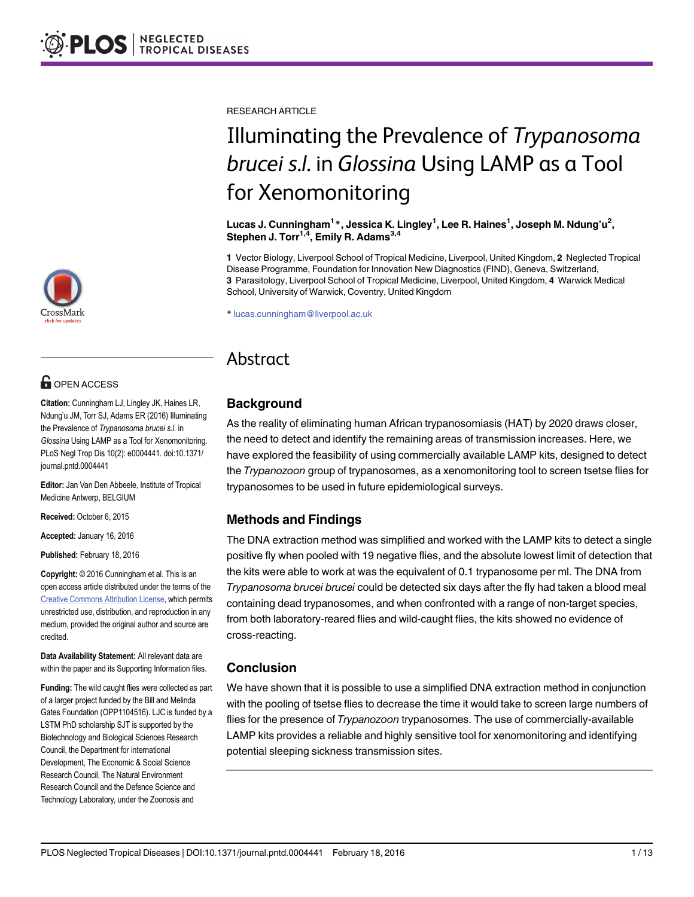# **G** OPEN ACCESS

Citation: Cunningham LJ, Lingley JK, Haines LR, Ndung'u JM, Torr SJ, Adams ER (2016) Illuminating the Prevalence of Trypanosoma brucei s.l. in Glossina Using LAMP as a Tool for Xenomonitoring. PLoS Negl Trop Dis 10(2): e0004441. doi:10.1371/ journal.pntd.0004441

Editor: Jan Van Den Abbeele, Institute of Tropical Medicine Antwerp, BELGIUM

Received: October 6, 2015

Accepted: January 16, 2016

Published: February 18, 2016

Copyright: © 2016 Cunningham et al. This is an open access article distributed under the terms of the [Creative Commons Attribution License,](http://creativecommons.org/licenses/by/4.0/) which permits unrestricted use, distribution, and reproduction in any medium, provided the original author and source are credited.

Data Availability Statement: All relevant data are within the paper and its Supporting Information files.

Funding: The wild caught flies were collected as part of a larger project funded by the Bill and Melinda Gates Foundation (OPP1104516). LJC is funded by a LSTM PhD scholarship SJT is supported by the Biotechnology and Biological Sciences Research Council, the Department for international Development, The Economic & Social Science Research Council, The Natural Environment Research Council and the Defence Science and Technology Laboratory, under the Zoonosis and

RESEARCH ARTICLE

# Illuminating the Prevalence of Trypanosoma brucei s.l. in Glossina Using LAMP as a Tool<br>for Xenomonitoring

المستعدد المستعدد المستعدد المستعدد المستعدد المستعدد المستعدد المستعدد المستعدد المستعدد المستعدد المستعدد ال<br>Lucas J. Cunningham<sup>1</sup> \*, Jessica K. Lingley<sup>1</sup>, Lee R. Haines<sup>1</sup>, Joseph M. Ndung'u<sup>2</sup>, Stephen J. Torr $<sup>1,4</sup>$ , Emily R. Adams $<sup>3,4</sup>$ </sup></sup>

1 Vector Biology, Liverpool School of Tropical Medicine, Liverpool, United Kingdom, 2 Neglected Tropical Disease Programme, Foundation for Innovation New Diagnostics (FIND), Geneva, Switzerland, 3 Parasitology, Liverpool School of Tropical Medicine, Liverpool, United Kingdom, 4 Warwick Medical School, University of Warwick, Coventry, United Kingdom

\* lucas.cunningham@liverpool.ac.uk

# Abstract Abstract

# **Background**

As the reality of eliminating human African trypanosomiasis (HAT) by 2020 draws closer, the need to detect and identify the remaining areas of transmission increases. Here, we have explored the feasibility of using commercially available LAMP kits, designed to detect the Trypanozoon group of trypanosomes, as a xenomonitoring tool to screen tsetse flies for trypanosomes to be used in future epidemiological surveys.

# Methods and Findings

The DNA extraction method was simplified and worked with the LAMP kits to detect a single positive fly when pooled with 19 negative flies, and the absolute lowest limit of detection that the kits were able to work at was the equivalent of 0.1 trypanosome per ml. The DNA from Trypanosoma brucei brucei could be detected six days after the fly had taken a blood meal containing dead trypanosomes, and when confronted with a range of non-target species, from both laboratory-reared flies and wild-caught flies, the kits showed no evidence of cross-reacting.

# Conclusion

We have shown that it is possible to use a simplified DNA extraction method in conjunction with the pooling of tsetse flies to decrease the time it would take to screen large numbers of flies for the presence of *Trypanozoon* trypanosomes. The use of commercially-available LAMP kits provides a reliable and highly sensitive tool for xenomonitoring and identifying potential sleeping sickness transmission sites.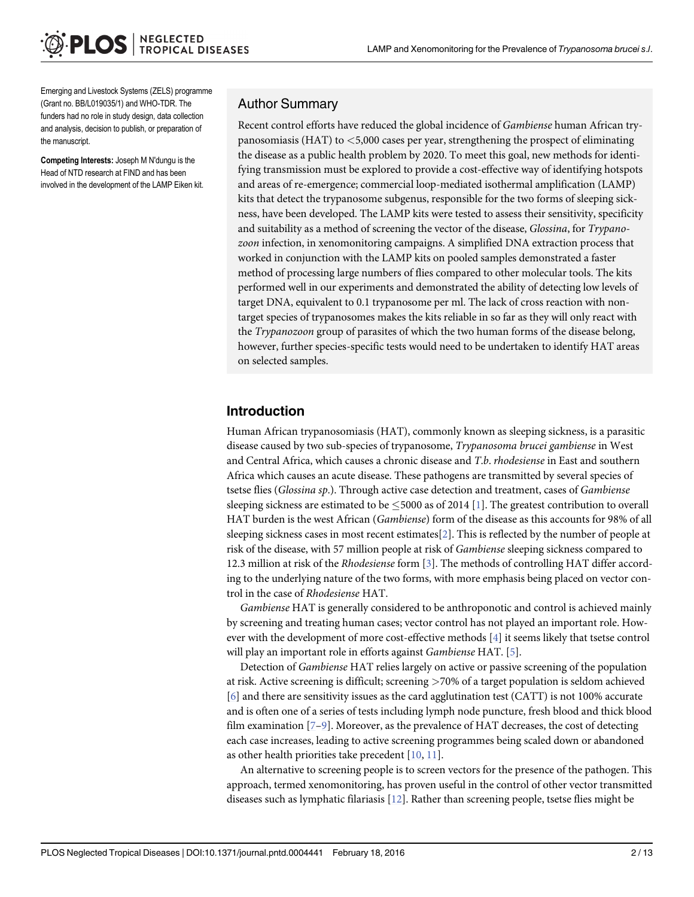<span id="page-1-0"></span>Emerging and Livestock Systems (ZELS) programme (Grant no. BB/L019035/1) and WHO-TDR. The funders had no role in study design, data collection and analysis, decision to publish, or preparation of the manuscript.

Competing Interests: Joseph M N'dungu is the Head of NTD research at FIND and has been involved in the development of the LAMP Eiken kit.

#### Author Summary

Recent control efforts have reduced the global incidence of Gambiense human African trypanosomiasis (HAT) to  $\leq$ 5,000 cases per year, strengthening the prospect of eliminating the disease as a public health problem by 2020. To meet this goal, new methods for identifying transmission must be explored to provide a cost-effective way of identifying hotspots and areas of re-emergence; commercial loop-mediated isothermal amplification (LAMP) kits that detect the trypanosome subgenus, responsible for the two forms of sleeping sickness, have been developed. The LAMP kits were tested to assess their sensitivity, specificity and suitability as a method of screening the vector of the disease, Glossina, for Trypanozoon infection, in xenomonitoring campaigns. A simplified DNA extraction process that worked in conjunction with the LAMP kits on pooled samples demonstrated a faster method of processing large numbers of flies compared to other molecular tools. The kits performed well in our experiments and demonstrated the ability of detecting low levels of target DNA, equivalent to 0.1 trypanosome per ml. The lack of cross reaction with nontarget species of trypanosomes makes the kits reliable in so far as they will only react with the Trypanozoon group of parasites of which the two human forms of the disease belong, however, further species-specific tests would need to be undertaken to identify HAT areas on selected samples.

# Introduction

Human African trypanosomiasis (HAT), commonly known as sleeping sickness, is a parasitic disease caused by two sub-species of trypanosome, Trypanosoma brucei gambiense in West and Central Africa, which causes a chronic disease and T.b. rhodesiense in East and southern Africa which causes an acute disease. These pathogens are transmitted by several species of tsetse flies (Glossina sp.). Through active case detection and treatment, cases of Gambiense sleeping sickness are estimated to be  $\leq$  5000 as of 2014 [[1\]](#page-10-0). The greatest contribution to overall HAT burden is the west African (Gambiense) form of the disease as this accounts for 98% of all sleeping sickness cases in most recent estimates  $[2]$  $[2]$ . This is reflected by the number of people at risk of the disease, with 57 million people at risk of Gambiense sleeping sickness compared to 12.3 million at risk of the Rhodesiense form [\[3\]](#page-11-0). The methods of controlling HAT differ according to the underlying nature of the two forms, with more emphasis being placed on vector control in the case of Rhodesiense HAT.

Gambiense HAT is generally considered to be anthroponotic and control is achieved mainly by screening and treating human cases; vector control has not played an important role. However with the development of more cost-effective methods [[4\]](#page-11-0) it seems likely that tsetse control will play an important role in efforts against Gambiense HAT. [[5\]](#page-11-0).

Detection of Gambiense HAT relies largely on active or passive screening of the population at risk. Active screening is difficult; screening >70% of a target population is seldom achieved [\[6](#page-11-0)] and there are sensitivity issues as the card agglutination test (CATT) is not 100% accurate and is often one of a series of tests including lymph node puncture, fresh blood and thick blood film examination  $[7-9]$  $[7-9]$  $[7-9]$  $[7-9]$ . Moreover, as the prevalence of HAT decreases, the cost of detecting each case increases, leading to active screening programmes being scaled down or abandoned as other health priorities take precedent [\[10](#page-11-0), [11\]](#page-11-0).

An alternative to screening people is to screen vectors for the presence of the pathogen. This approach, termed xenomonitoring, has proven useful in the control of other vector transmitted diseases such as lymphatic filariasis  $[12]$ . Rather than screening people, tsetse flies might be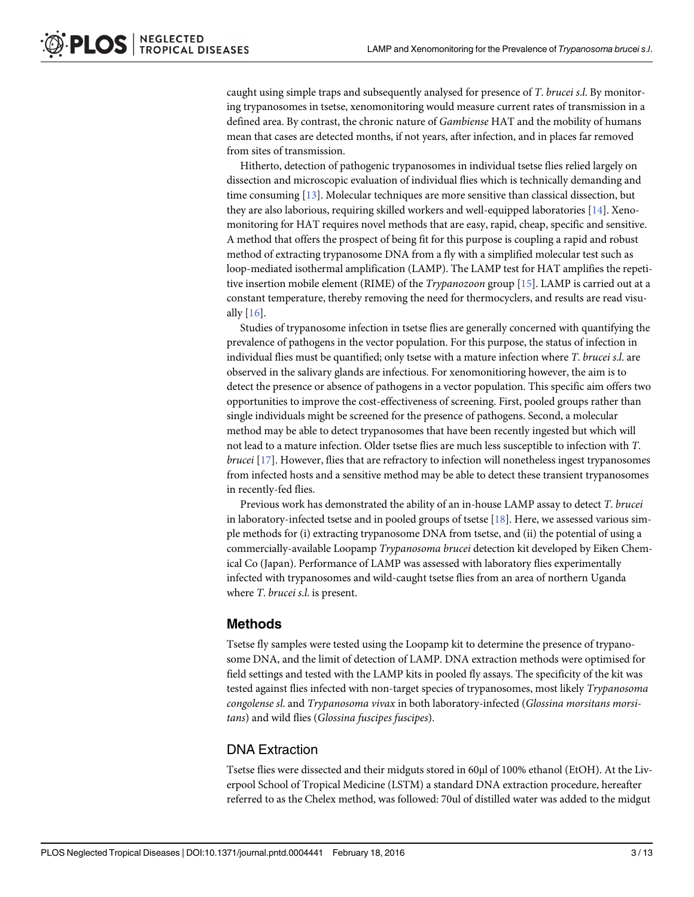<span id="page-2-0"></span>caught using simple traps and subsequently analysed for presence of T. brucei s.l. By monitoring trypanosomes in tsetse, xenomonitoring would measure current rates of transmission in a defined area. By contrast, the chronic nature of Gambiense HAT and the mobility of humans mean that cases are detected months, if not years, after infection, and in places far removed from sites of transmission.

Hitherto, detection of pathogenic trypanosomes in individual tsetse flies relied largely on dissection and microscopic evaluation of individual flies which is technically demanding and time consuming [\[13\]](#page-11-0). Molecular techniques are more sensitive than classical dissection, but they are also laborious, requiring skilled workers and well-equipped laboratories  $[14]$ . Xenomonitoring for HAT requires novel methods that are easy, rapid, cheap, specific and sensitive. A method that offers the prospect of being fit for this purpose is coupling a rapid and robust method of extracting trypanosome DNA from a fly with a simplified molecular test such as loop-mediated isothermal amplification (LAMP). The LAMP test for HAT amplifies the repetitive insertion mobile element (RIME) of the *Trypanozoon* group [[15](#page-11-0)]. LAMP is carried out at a constant temperature, thereby removing the need for thermocyclers, and results are read visually [[16](#page-11-0)].

Studies of trypanosome infection in tsetse flies are generally concerned with quantifying the prevalence of pathogens in the vector population. For this purpose, the status of infection in individual flies must be quantified; only tsetse with a mature infection where T. brucei s.l. are observed in the salivary glands are infectious. For xenomonitioring however, the aim is to detect the presence or absence of pathogens in a vector population. This specific aim offers two opportunities to improve the cost-effectiveness of screening. First, pooled groups rather than single individuals might be screened for the presence of pathogens. Second, a molecular method may be able to detect trypanosomes that have been recently ingested but which will not lead to a mature infection. Older tsetse flies are much less susceptible to infection with T. brucei [[17](#page-11-0)]. However, flies that are refractory to infection will nonetheless ingest trypanosomes from infected hosts and a sensitive method may be able to detect these transient trypanosomes in recently-fed flies.

Previous work has demonstrated the ability of an in-house LAMP assay to detect T. brucei in laboratory-infected tsetse and in pooled groups of tsetse [\[18](#page-11-0)]. Here, we assessed various simple methods for (i) extracting trypanosome DNA from tsetse, and (ii) the potential of using a commercially-available Loopamp Trypanosoma brucei detection kit developed by Eiken Chemical Co (Japan). Performance of LAMP was assessed with laboratory flies experimentally infected with trypanosomes and wild-caught tsetse flies from an area of northern Uganda where *T. brucei s.l.* is present.

#### Methods

Tsetse fly samples were tested using the Loopamp kit to determine the presence of trypanosome DNA, and the limit of detection of LAMP. DNA extraction methods were optimised for field settings and tested with the LAMP kits in pooled fly assays. The specificity of the kit was tested against flies infected with non-target species of trypanosomes, most likely Trypanosoma congolense sl. and Trypanosoma vivax in both laboratory-infected (Glossina morsitans morsitans) and wild flies (Glossina fuscipes fuscipes).

#### DNA Extraction

Tsetse flies were dissected and their midguts stored in 60μl of 100% ethanol (EtOH). At the Liverpool School of Tropical Medicine (LSTM) a standard DNA extraction procedure, hereafter referred to as the Chelex method, was followed: 70ul of distilled water was added to the midgut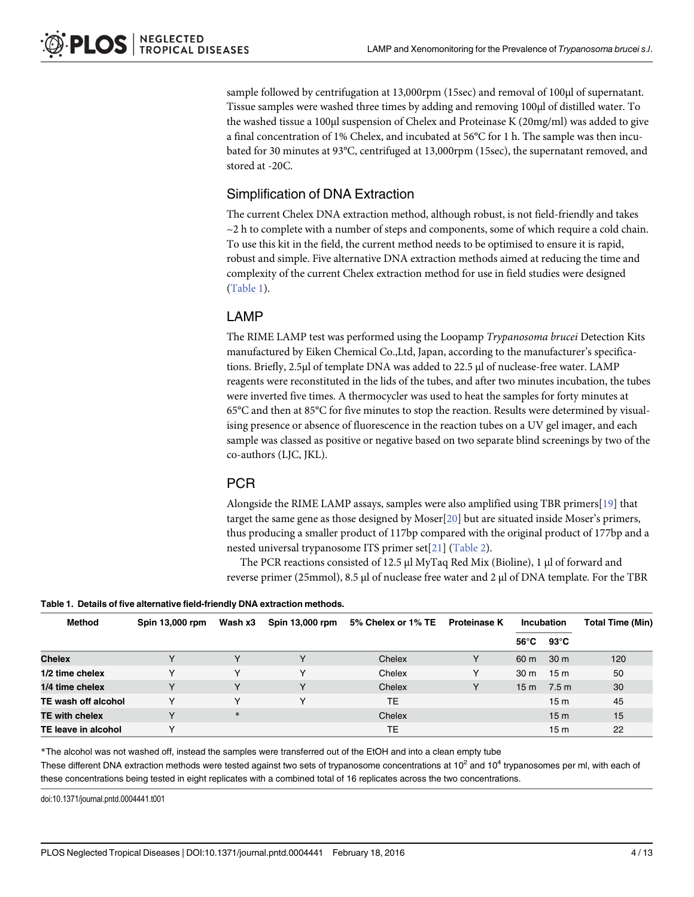<span id="page-3-0"></span>sample followed by centrifugation at 13,000rpm (15sec) and removal of 100μl of supernatant. Tissue samples were washed three times by adding and removing 100μl of distilled water. To the washed tissue a 100μl suspension of Chelex and Proteinase K (20mg/ml) was added to give a final concentration of 1% Chelex, and incubated at 56°C for 1 h. The sample was then incubated for 30 minutes at 93°C, centrifuged at 13,000rpm (15sec), the supernatant removed, and stored at -20C.

#### Simplification of DNA Extraction

The current Chelex DNA extraction method, although robust, is not field-friendly and takes  $\sim$  2 h to complete with a number of steps and components, some of which require a cold chain. To use this kit in the field, the current method needs to be optimised to ensure it is rapid, robust and simple. Five alternative DNA extraction methods aimed at reducing the time and complexity of the current Chelex extraction method for use in field studies were designed (Table 1).

#### LAMP

The RIME LAMP test was performed using the Loopamp Trypanosoma brucei Detection Kits manufactured by Eiken Chemical Co.,Ltd, Japan, according to the manufacturer's specifications. Briefly, 2.5μl of template DNA was added to 22.5 μl of nuclease-free water. LAMP reagents were reconstituted in the lids of the tubes, and after two minutes incubation, the tubes were inverted five times. A thermocycler was used to heat the samples for forty minutes at 65°C and then at 85°C for five minutes to stop the reaction. Results were determined by visualising presence or absence of fluorescence in the reaction tubes on a UV gel imager, and each sample was classed as positive or negative based on two separate blind screenings by two of the co-authors (LJC, JKL).

#### PCR

Alongside the RIME LAMP assays, samples were also amplified using TBR primers[[19](#page-11-0)] that target the same gene as those designed by Moser[\[20\]](#page-11-0) but are situated inside Moser's primers, thus producing a smaller product of 117bp compared with the original product of 177bp and a nested universal trypanosome ITS primer set[[21\]](#page-11-0) ([Table 2\)](#page-4-0).

The PCR reactions consisted of 12.5 μl MyTaq Red Mix (Bioline), 1 μl of forward and reverse primer (25mmol), 8.5 μl of nuclease free water and 2 μl of DNA template. For the TBR

| Table 1. Details of five alternative field-friendly DNA extraction methods. |  |
|-----------------------------------------------------------------------------|--|
|-----------------------------------------------------------------------------|--|

| <b>Method</b>         | Spin 13,000 rpm | Wash x3 | Spin 13,000 rpm | 5% Chelex or 1% TE | <b>Proteinase K</b> | <b>Incubation</b> |                 | Total Time (Min) |
|-----------------------|-----------------|---------|-----------------|--------------------|---------------------|-------------------|-----------------|------------------|
|                       |                 |         |                 |                    |                     | 56°C              | 93°C            |                  |
| <b>Chelex</b>         | $\checkmark$    | v       | v               | Chelex             | Y                   | 60 <sub>m</sub>   | 30 <sub>m</sub> | 120              |
| 1/2 time chelex       | v               | v       | v               | Chelex             | Y                   | 30 <sub>m</sub>   | 15m             | 50               |
| 1/4 time chelex       | $\checkmark$    | Y       | v               | Chelex             | Y                   | 15 <sub>m</sub>   | 7.5 m           | 30               |
| TE wash off alcohol   | v               | v       | v               | TЕ                 |                     |                   | 15 <sub>m</sub> | 45               |
| <b>TE with chelex</b> | v               | $\ast$  |                 | Chelex             |                     |                   | 15 <sub>m</sub> | 15               |
| TE leave in alcohol   | v               |         |                 | ТE                 |                     |                   | 15 <sub>m</sub> | 22               |

\*The alcohol was not washed off, instead the samples were transferred out of the EtOH and into a clean empty tube These different DNA extraction methods were tested against two sets of trypanosome concentrations at  $10^2$  and  $10^4$  trypanosomes per ml, with each of these concentrations being tested in eight replicates with a combined total of 16 replicates across the two concentrations.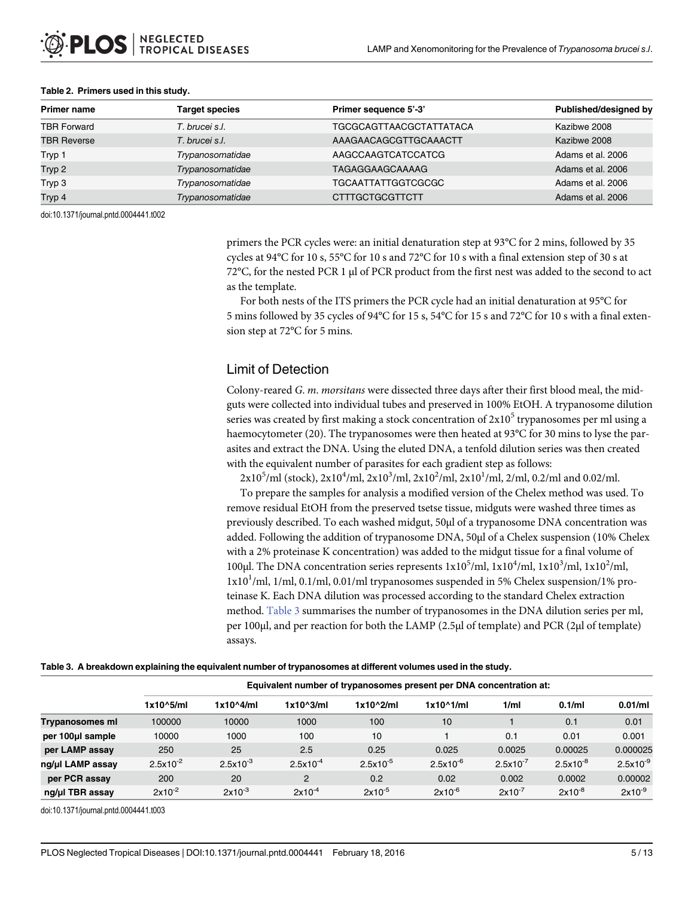| Primer name        | <b>Target species</b> | Primer sequence 5'-3'          | Published/designed by |
|--------------------|-----------------------|--------------------------------|-----------------------|
| <b>TBR Forward</b> | T. brucei s.l.        | <b>TGCGCAGTTAACGCTATTATACA</b> | Kazibwe 2008          |
| <b>TBR Reverse</b> | T. brucei s.l.        | AAAGAACAGCGTTGCAAACTT          | Kazibwe 2008          |
| Tryp 1             | Trypanosomatidae      | AAGCCAAGTCATCCATCG             | Adams et al. 2006     |
| Tryp 2             | Trypanosomatidae      | TAGAGGAAGCAAAAG                | Adams et al. 2006     |
| Tryp 3             | Trypanosomatidae      | <b>TGCAATTATTGGTCGCGC</b>      | Adams et al. 2006     |
| Tryp 4             | Trypanosomatidae      | <b>CTTTGCTGCGTTCTT</b>         | Adams et al. 2006     |

#### <span id="page-4-0"></span>[Table 2.](#page-3-0) Primers used in this study.

doi:10.1371/journal.pntd.0004441.t002

primers the PCR cycles were: an initial denaturation step at 93°C for 2 mins, followed by 35 cycles at 94°C for 10 s, 55°C for 10 s and 72°C for 10 s with a final extension step of 30 s at 72°C, for the nested PCR 1 μl of PCR product from the first nest was added to the second to act as the template.

For both nests of the ITS primers the PCR cycle had an initial denaturation at 95°C for 5 mins followed by 35 cycles of 94°C for 15 s, 54°C for 15 s and 72°C for 10 s with a final extension step at 72°C for 5 mins.

#### Limit of Detection

Colony-reared G. m. morsitans were dissected three days after their first blood meal, the midguts were collected into individual tubes and preserved in 100% EtOH. A trypanosome dilution series was created by first making a stock concentration of  $2x10<sup>5</sup>$  trypanosomes per ml using a haemocytometer (20). The trypanosomes were then heated at 93°C for 30 mins to lyse the parasites and extract the DNA. Using the eluted DNA, a tenfold dilution series was then created with the equivalent number of parasites for each gradient step as follows:

 $2x10^5$ /ml (stock),  $2x10^4$ /ml,  $2x10^3$ /ml,  $2x10^2$ /ml,  $2x10^1$ /ml,  $2$ /ml, 0.2/ml and 0.02/ml.

To prepare the samples for analysis a modified version of the Chelex method was used. To remove residual EtOH from the preserved tsetse tissue, midguts were washed three times as previously described. To each washed midgut, 50μl of a trypanosome DNA concentration was added. Following the addition of trypanosome DNA, 50μl of a Chelex suspension (10% Chelex with a 2% proteinase K concentration) was added to the midgut tissue for a final volume of 100µl. The DNA concentration series represents  $1x10^5$ /ml,  $1x10^4$ /ml,  $1x10^3$ /ml,  $1x10^2$ /ml,  $1x10<sup>1</sup>/ml$ ,  $1/ml$ ,  $0.1/ml$ ,  $0.01/ml$  trypanosomes suspended in 5% Chelex suspension/1% proteinase K. Each DNA dilution was processed according to the standard Chelex extraction method. Table 3 summarises the number of trypanosomes in the DNA dilution series per ml, per 100μl, and per reaction for both the LAMP (2.5μl of template) and PCR (2μl of template) assays.

|                  | Equivalent number of trypanosomes present per DNA concentration at: |               |                     |               |                    |               |               |               |
|------------------|---------------------------------------------------------------------|---------------|---------------------|---------------|--------------------|---------------|---------------|---------------|
|                  | $1x10^5/ml$                                                         | 1x10^4/ml     | $1x10^{\wedge}3/ml$ | $1x10^2/ml$   | $1x10^{\wedge}1/m$ | 1/ml          | 0.1/ml        | 0.01/ml       |
| Trypanosomes ml  | 100000                                                              | 10000         | 1000                | 100           | 10                 |               | 0.1           | 0.01          |
| per 100µl sample | 10000                                                               | 1000          | 100                 | 10            |                    | 0.1           | 0.01          | 0.001         |
| per LAMP assay   | 250                                                                 | 25            | 2.5                 | 0.25          | 0.025              | 0.0025        | 0.00025       | 0.000025      |
| ng/µl LAMP assay | $2.5x10^{-2}$                                                       | $2.5x10^{-3}$ | $2.5x10^{-4}$       | $2.5x10^{-5}$ | $2.5x10^{-6}$      | $2.5x10^{-7}$ | $2.5x10^{-8}$ | $2.5x10^{-9}$ |
| per PCR assay    | 200                                                                 | 20            | 2                   | 0.2           | 0.02               | 0.002         | 0.0002        | 0.00002       |
| ng/µl TBR assay  | $2x10^{-2}$                                                         | $2x10^{-3}$   | $2x10^{-4}$         | $2x10^{-5}$   | $2x10^{-6}$        | $2x10^{-7}$   | $2x10^{-8}$   | $2x10^{-9}$   |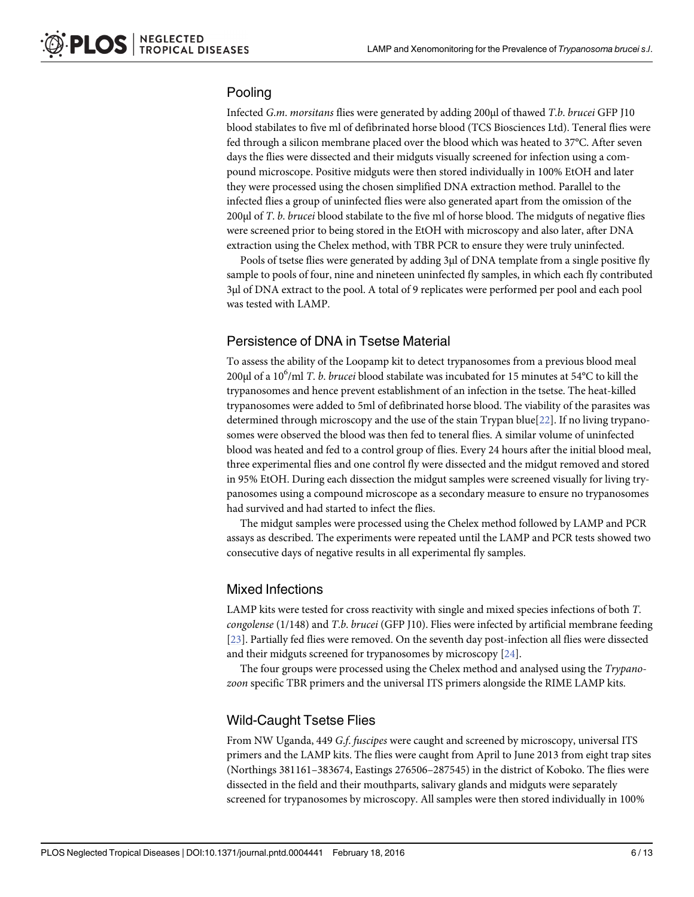# <span id="page-5-0"></span>Pooling

Infected G.m. morsitans flies were generated by adding 200μl of thawed T.b. brucei GFP J10 blood stabilates to five ml of defibrinated horse blood (TCS Biosciences Ltd). Teneral flies were fed through a silicon membrane placed over the blood which was heated to 37°C. After seven days the flies were dissected and their midguts visually screened for infection using a compound microscope. Positive midguts were then stored individually in 100% EtOH and later they were processed using the chosen simplified DNA extraction method. Parallel to the infected flies a group of uninfected flies were also generated apart from the omission of the 200μl of T. b. brucei blood stabilate to the five ml of horse blood. The midguts of negative flies were screened prior to being stored in the EtOH with microscopy and also later, after DNA extraction using the Chelex method, with TBR PCR to ensure they were truly uninfected.

Pools of tsetse flies were generated by adding 3μl of DNA template from a single positive fly sample to pools of four, nine and nineteen uninfected fly samples, in which each fly contributed 3μl of DNA extract to the pool. A total of 9 replicates were performed per pool and each pool was tested with LAMP.

## Persistence of DNA in Tsetse Material

To assess the ability of the Loopamp kit to detect trypanosomes from a previous blood meal 200µl of a 10<sup>6</sup>/ml *T. b. brucei* blood stabilate was incubated for 15 minutes at 54°C to kill the trypanosomes and hence prevent establishment of an infection in the tsetse. The heat-killed trypanosomes were added to 5ml of defibrinated horse blood. The viability of the parasites was determined through microscopy and the use of the stain Trypan blue[[22](#page-12-0)]. If no living trypanosomes were observed the blood was then fed to teneral flies. A similar volume of uninfected blood was heated and fed to a control group of flies. Every 24 hours after the initial blood meal, three experimental flies and one control fly were dissected and the midgut removed and stored in 95% EtOH. During each dissection the midgut samples were screened visually for living trypanosomes using a compound microscope as a secondary measure to ensure no trypanosomes had survived and had started to infect the flies.

The midgut samples were processed using the Chelex method followed by LAMP and PCR assays as described. The experiments were repeated until the LAMP and PCR tests showed two consecutive days of negative results in all experimental fly samples.

#### Mixed Infections

LAMP kits were tested for cross reactivity with single and mixed species infections of both T. congolense (1/148) and T.b. brucei (GFP J10). Flies were infected by artificial membrane feeding [\[23](#page-12-0)]. Partially fed flies were removed. On the seventh day post-infection all flies were dissected and their midguts screened for trypanosomes by microscopy [\[24\]](#page-12-0).

The four groups were processed using the Chelex method and analysed using the Trypanozoon specific TBR primers and the universal ITS primers alongside the RIME LAMP kits.

#### Wild-Caught Tsetse Flies

From NW Uganda, 449 G.f. fuscipes were caught and screened by microscopy, universal ITS primers and the LAMP kits. The flies were caught from April to June 2013 from eight trap sites (Northings 381161–383674, Eastings 276506–287545) in the district of Koboko. The flies were dissected in the field and their mouthparts, salivary glands and midguts were separately screened for trypanosomes by microscopy. All samples were then stored individually in 100%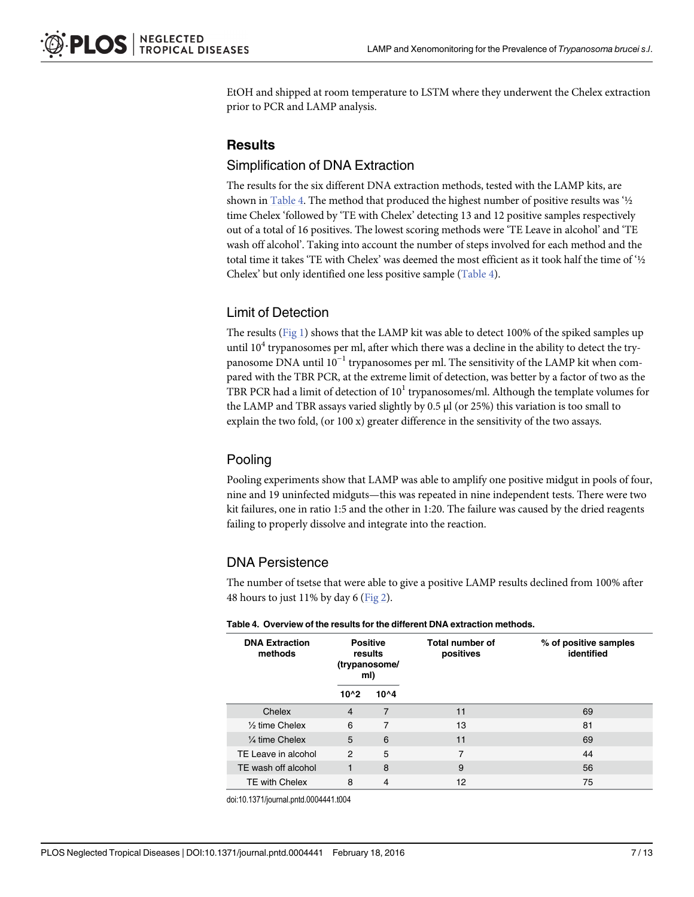<span id="page-6-0"></span>EtOH and shipped at room temperature to LSTM where they underwent the Chelex extraction prior to PCR and LAMP analysis.

# **Results**

#### Simplification of DNA Extraction

The results for the six different DNA extraction methods, tested with the LAMP kits, are shown in Table 4. The method that produced the highest number of positive results was '½ time Chelex 'followed by 'TE with Chelex' detecting 13 and 12 positive samples respectively out of a total of 16 positives. The lowest scoring methods were 'TE Leave in alcohol' and 'TE wash off alcohol'. Taking into account the number of steps involved for each method and the total time it takes 'TE with Chelex' was deemed the most efficient as it took half the time of '½ Chelex' but only identified one less positive sample (Table 4).

#### Limit of Detection

The results [\(Fig 1\)](#page-7-0) shows that the LAMP kit was able to detect 100% of the spiked samples up until  $10<sup>4</sup>$  trypanosomes per ml, after which there was a decline in the ability to detect the trypanosome DNA until  $10^{-1}$  trypanosomes per ml. The sensitivity of the LAMP kit when compared with the TBR PCR, at the extreme limit of detection, was better by a factor of two as the TBR PCR had a limit of detection of  $10<sup>1</sup>$  trypanosomes/ml. Although the template volumes for the LAMP and TBR assays varied slightly by 0.5 μl (or 25%) this variation is too small to explain the two fold, (or 100 x) greater difference in the sensitivity of the two assays.

## Pooling

Pooling experiments show that LAMP was able to amplify one positive midgut in pools of four, nine and 19 uninfected midguts—this was repeated in nine independent tests. There were two kit failures, one in ratio 1:5 and the other in 1:20. The failure was caused by the dried reagents failing to properly dissolve and integrate into the reaction.

#### DNA Persistence

The number of tsetse that were able to give a positive LAMP results declined from 100% after 48 hours to just 11% by day 6 ([Fig 2\)](#page-8-0).

| <b>DNA Extraction</b><br>methods | <b>Positive</b><br>results<br>(trypanosome/<br>ml) |          | <b>Total number of</b><br>positives | % of positive samples<br>identified |  |  |
|----------------------------------|----------------------------------------------------|----------|-------------------------------------|-------------------------------------|--|--|
|                                  | $10^{4}2$                                          | $10^{4}$ |                                     |                                     |  |  |
| Chelex                           | $\overline{4}$                                     | 7        | 11                                  | 69                                  |  |  |
| $\frac{1}{2}$ time Chelex        | 6                                                  | 7        | 13                                  | 81                                  |  |  |
| $\frac{1}{4}$ time Chelex        | 5                                                  | 6        | 11                                  | 69                                  |  |  |
| TE Leave in alcohol              | $\mathcal{P}$                                      | 5        | 7                                   | 44                                  |  |  |
| TE wash off alcohol              | 1                                                  | 8        | 9                                   | 56                                  |  |  |
| <b>TE with Chelex</b>            | 8                                                  | 4        | 12                                  | 75                                  |  |  |

#### Table 4. Overview of the results for the different DNA extraction methods.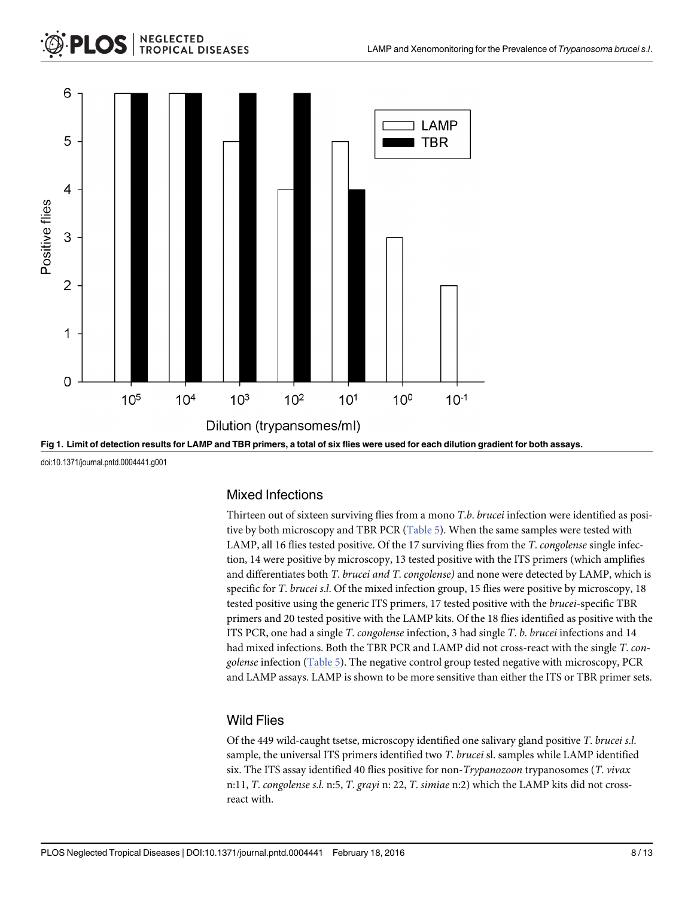<span id="page-7-0"></span>

doi:10.1371/journal.pntd.0004441.g001

# Mixed Infections

Thirteen out of sixteen surviving flies from a mono T.b. brucei infection were identified as positive by both microscopy and TBR PCR ([Table 5](#page-8-0)). When the same samples were tested with LAMP, all 16 flies tested positive. Of the 17 surviving flies from the T. congolense single infection, 14 were positive by microscopy, 13 tested positive with the ITS primers (which amplifies and differentiates both T. brucei and T. congolense) and none were detected by LAMP, which is specific for T. brucei s.l. Of the mixed infection group, 15 flies were positive by microscopy, 18 tested positive using the generic ITS primers, 17 tested positive with the brucei-specific TBR primers and 20 tested positive with the LAMP kits. Of the 18 flies identified as positive with the ITS PCR, one had a single T. congolense infection, 3 had single  $T$ . b. brucei infections and 14 had mixed infections. Both the TBR PCR and LAMP did not cross-react with the single T. congolense infection [\(Table 5](#page-8-0)). The negative control group tested negative with microscopy, PCR and LAMP assays. LAMP is shown to be more sensitive than either the ITS or TBR primer sets.

# Wild Flies

Of the 449 wild-caught tsetse, microscopy identified one salivary gland positive T. brucei s.l. sample, the universal ITS primers identified two T. brucei sl. samples while LAMP identified six. The ITS assay identified 40 flies positive for non-Trypanozoon trypanosomes (T. vivax n:11, T. congolense s.l. n:5, T. grayi n: 22, T. simiae n:2) which the LAMP kits did not crossreact with.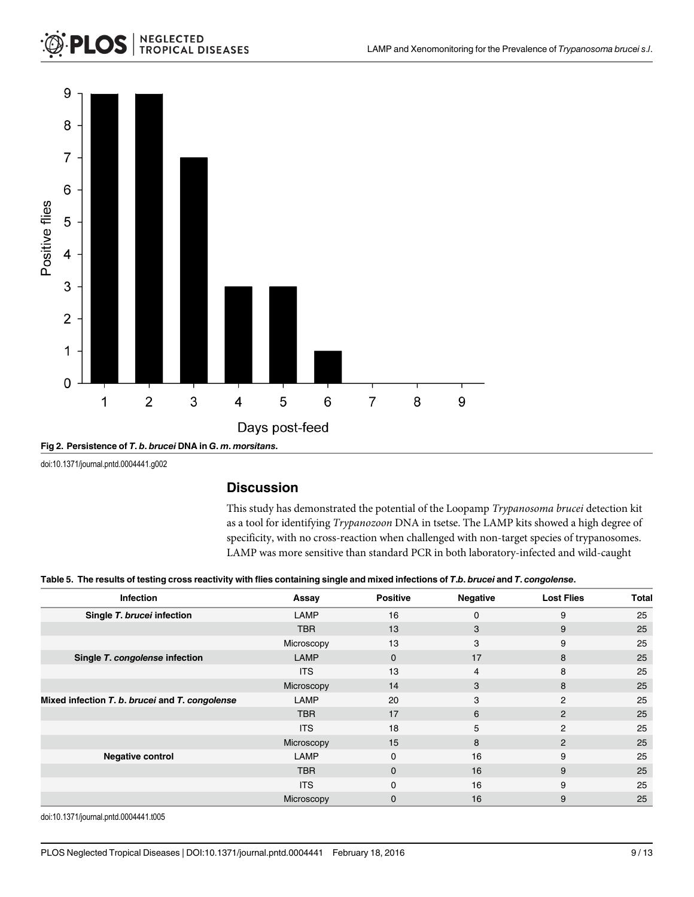# <span id="page-8-0"></span>**NEGLECTED<br>TROPICAL DISEASES**





doi:10.1371/journal.pntd.0004441.g002

#### **Discussion**

This study has demonstrated the potential of the Loopamp Trypanosoma brucei detection kit as a tool for identifying Trypanozoon DNA in tsetse. The LAMP kits showed a high degree of specificity, with no cross-reaction when challenged with non-target species of trypanosomes. LAMP was more sensitive than standard PCR in both laboratory-infected and wild-caught

| Table 5. The results of testing cross reactivity with flies containing single and mixed infections of T.b. brucei and T. congolense. |
|--------------------------------------------------------------------------------------------------------------------------------------|
|                                                                                                                                      |

| <b>Infection</b>                               | Assay       | <b>Positive</b> | <b>Negative</b> | <b>Lost Flies</b> | Total |
|------------------------------------------------|-------------|-----------------|-----------------|-------------------|-------|
| Single T. brucei infection                     | LAMP        | 16              | $\Omega$        | 9                 | 25    |
|                                                | <b>TBR</b>  | 13              | 3               | 9                 | 25    |
|                                                | Microscopy  | 13              | 3               | 9                 | 25    |
| Single T. congolense infection                 | <b>LAMP</b> | 0               | 17              | 8                 | 25    |
|                                                | <b>ITS</b>  | 13              | 4               | 8                 | 25    |
|                                                | Microscopy  | 14              | 3               | 8                 | 25    |
| Mixed infection T. b. brucei and T. congolense | LAMP        | 20              | 3               | 2                 | 25    |
|                                                | <b>TBR</b>  | 17              | 6               | $\overline{2}$    | 25    |
|                                                | <b>ITS</b>  | 18              | 5               | 2                 | 25    |
|                                                | Microscopy  | 15              | 8               | $\overline{2}$    | 25    |
| <b>Negative control</b>                        | <b>LAMP</b> | $\Omega$        | 16              | 9                 | 25    |
|                                                | <b>TBR</b>  | $\mathbf{0}$    | 16              | 9                 | 25    |
|                                                | <b>ITS</b>  | $\Omega$        | 16              | 9                 | 25    |
|                                                | Microscopy  | 0               | 16              | 9                 | 25    |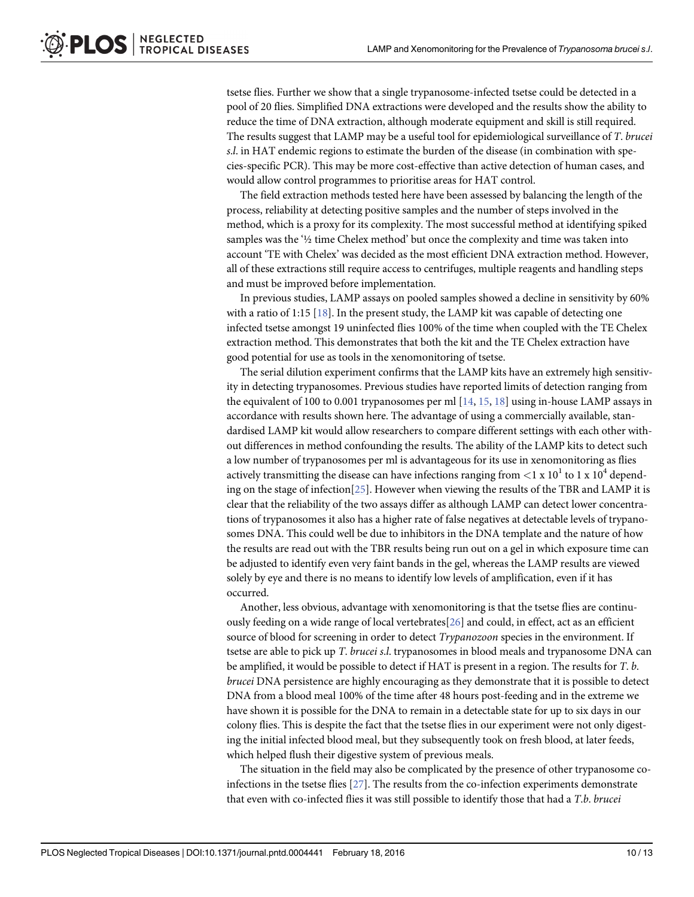<span id="page-9-0"></span>tsetse flies. Further we show that a single trypanosome-infected tsetse could be detected in a pool of 20 flies. Simplified DNA extractions were developed and the results show the ability to reduce the time of DNA extraction, although moderate equipment and skill is still required. The results suggest that LAMP may be a useful tool for epidemiological surveillance of T. brucei s.l. in HAT endemic regions to estimate the burden of the disease (in combination with species-specific PCR). This may be more cost-effective than active detection of human cases, and would allow control programmes to prioritise areas for HAT control.

The field extraction methods tested here have been assessed by balancing the length of the process, reliability at detecting positive samples and the number of steps involved in the method, which is a proxy for its complexity. The most successful method at identifying spiked samples was the '½ time Chelex method' but once the complexity and time was taken into account 'TE with Chelex' was decided as the most efficient DNA extraction method. However, all of these extractions still require access to centrifuges, multiple reagents and handling steps and must be improved before implementation.

In previous studies, LAMP assays on pooled samples showed a decline in sensitivity by 60% with a ratio of 1:15 [[18](#page-11-0)]. In the present study, the LAMP kit was capable of detecting one infected tsetse amongst 19 uninfected flies 100% of the time when coupled with the TE Chelex extraction method. This demonstrates that both the kit and the TE Chelex extraction have good potential for use as tools in the xenomonitoring of tsetse.

The serial dilution experiment confirms that the LAMP kits have an extremely high sensitivity in detecting trypanosomes. Previous studies have reported limits of detection ranging from the equivalent of 100 to 0.001 trypanosomes per ml  $[14, 15, 18]$  $[14, 15, 18]$  $[14, 15, 18]$  $[14, 15, 18]$  $[14, 15, 18]$  using in-house LAMP assays in accordance with results shown here. The advantage of using a commercially available, standardised LAMP kit would allow researchers to compare different settings with each other without differences in method confounding the results. The ability of the LAMP kits to detect such a low number of trypanosomes per ml is advantageous for its use in xenomonitoring as flies actively transmitting the disease can have infections ranging from  $\langle 1 \times 10^{1}$  to 1 x 10<sup>4</sup> depending on the stage of infection[\[25\]](#page-12-0). However when viewing the results of the TBR and LAMP it is clear that the reliability of the two assays differ as although LAMP can detect lower concentrations of trypanosomes it also has a higher rate of false negatives at detectable levels of trypanosomes DNA. This could well be due to inhibitors in the DNA template and the nature of how the results are read out with the TBR results being run out on a gel in which exposure time can be adjusted to identify even very faint bands in the gel, whereas the LAMP results are viewed solely by eye and there is no means to identify low levels of amplification, even if it has occurred.

Another, less obvious, advantage with xenomonitoring is that the tsetse flies are continuously feeding on a wide range of local vertebrates[[26](#page-12-0)] and could, in effect, act as an efficient source of blood for screening in order to detect *Trypanozoon* species in the environment. If tsetse are able to pick up *T. brucei s.l.* trypanosomes in blood meals and trypanosome DNA can be amplified, it would be possible to detect if HAT is present in a region. The results for T. b. brucei DNA persistence are highly encouraging as they demonstrate that it is possible to detect DNA from a blood meal 100% of the time after 48 hours post-feeding and in the extreme we have shown it is possible for the DNA to remain in a detectable state for up to six days in our colony flies. This is despite the fact that the tsetse flies in our experiment were not only digesting the initial infected blood meal, but they subsequently took on fresh blood, at later feeds, which helped flush their digestive system of previous meals.

The situation in the field may also be complicated by the presence of other trypanosome coinfections in the tsetse flies [[27](#page-12-0)]. The results from the co-infection experiments demonstrate that even with co-infected flies it was still possible to identify those that had a T.b. brucei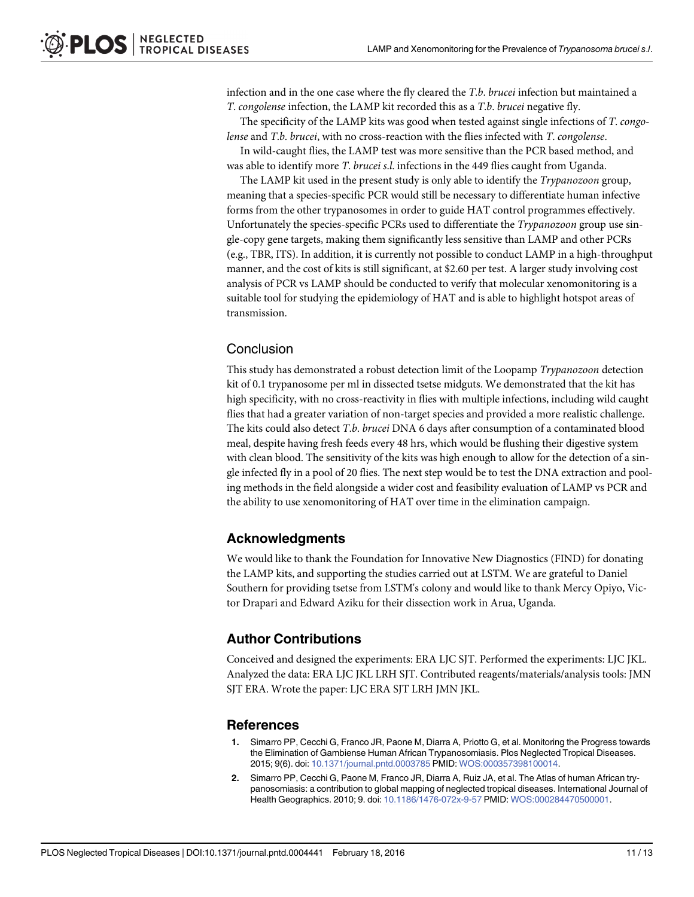<span id="page-10-0"></span>infection and in the one case where the fly cleared the  $T.b.$  brucei infection but maintained a T. congolense infection, the LAMP kit recorded this as a T.b. brucei negative fly.

The specificity of the LAMP kits was good when tested against single infections of T. congolense and T.b. brucei, with no cross-reaction with the flies infected with T. congolense.

In wild-caught flies, the LAMP test was more sensitive than the PCR based method, and was able to identify more T. brucei s.l. infections in the 449 flies caught from Uganda.

The LAMP kit used in the present study is only able to identify the *Trypanozoon* group, meaning that a species-specific PCR would still be necessary to differentiate human infective forms from the other trypanosomes in order to guide HAT control programmes effectively. Unfortunately the species-specific PCRs used to differentiate the Trypanozoon group use single-copy gene targets, making them significantly less sensitive than LAMP and other PCRs (e.g., TBR, ITS). In addition, it is currently not possible to conduct LAMP in a high-throughput manner, and the cost of kits is still significant, at \$2.60 per test. A larger study involving cost analysis of PCR vs LAMP should be conducted to verify that molecular xenomonitoring is a suitable tool for studying the epidemiology of HAT and is able to highlight hotspot areas of transmission.

#### **Conclusion**

This study has demonstrated a robust detection limit of the Loopamp Trypanozoon detection kit of 0.1 trypanosome per ml in dissected tsetse midguts. We demonstrated that the kit has high specificity, with no cross-reactivity in flies with multiple infections, including wild caught flies that had a greater variation of non-target species and provided a more realistic challenge. The kits could also detect T.b. brucei DNA 6 days after consumption of a contaminated blood meal, despite having fresh feeds every 48 hrs, which would be flushing their digestive system with clean blood. The sensitivity of the kits was high enough to allow for the detection of a single infected fly in a pool of 20 flies. The next step would be to test the DNA extraction and pooling methods in the field alongside a wider cost and feasibility evaluation of LAMP vs PCR and the ability to use xenomonitoring of HAT over time in the elimination campaign.

#### Acknowledgments

We would like to thank the Foundation for Innovative New Diagnostics (FIND) for donating the LAMP kits, and supporting the studies carried out at LSTM. We are grateful to Daniel Southern for providing tsetse from LSTM's colony and would like to thank Mercy Opiyo, Victor Drapari and Edward Aziku for their dissection work in Arua, Uganda.

#### Author Contributions

Conceived and designed the experiments: ERA LJC SJT. Performed the experiments: LJC JKL. Analyzed the data: ERA LJC JKL LRH SJT. Contributed reagents/materials/analysis tools: JMN SJT ERA. Wrote the paper: LJC ERA SJT LRH JMN JKL.

#### **References**

- [1.](#page-1-0) Simarro PP, Cecchi G, Franco JR, Paone M, Diarra A, Priotto G, et al. Monitoring the Progress towards the Elimination of Gambiense Human African Trypanosomiasis. Plos Neglected Tropical Diseases. 2015; 9(6). doi: [10.1371/journal.pntd.0003785](http://dx.doi.org/10.1371/journal.pntd.0003785) PMID: [WOS:000357398100014](http://www.ncbi.nlm.nih.gov/pubmed/WOS:000357398100014).
- [2.](#page-1-0) Simarro PP, Cecchi G, Paone M, Franco JR, Diarra A, Ruiz JA, et al. The Atlas of human African trypanosomiasis: a contribution to global mapping of neglected tropical diseases. International Journal of Health Geographics. 2010; 9. doi: [10.1186/1476-072x-9-57](http://dx.doi.org/10.1186/1476-072x-9-57) PMID: [WOS:000284470500001.](http://www.ncbi.nlm.nih.gov/pubmed/WOS:000284470500001)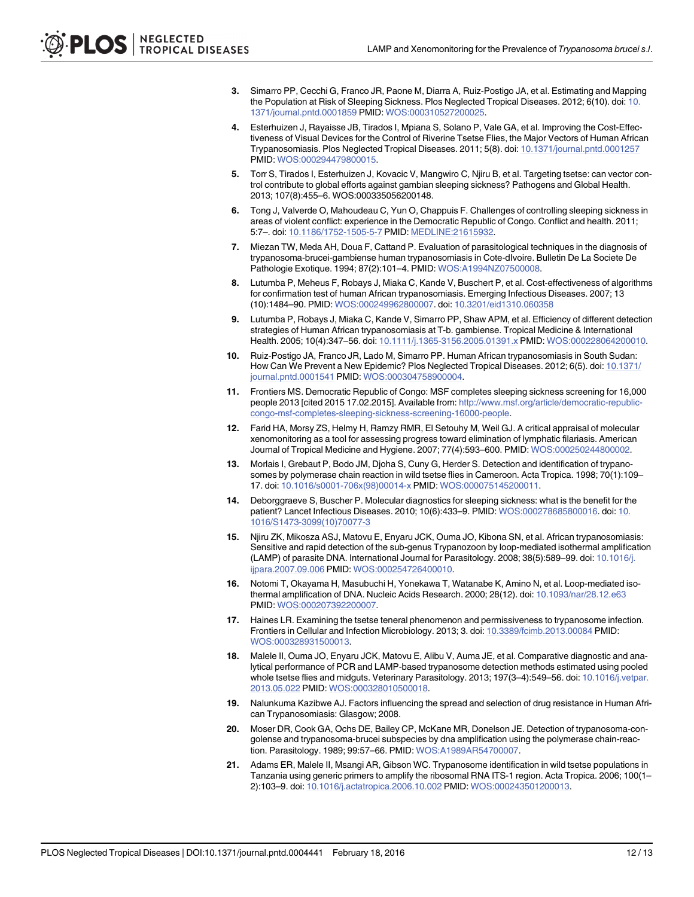- <span id="page-11-0"></span>[3.](#page-1-0) Simarro PP, Cecchi G, Franco JR, Paone M, Diarra A, Ruiz-Postigo JA, et al. Estimating and Mapping the Population at Risk of Sleeping Sickness. Plos Neglected Tropical Diseases. 2012; 6(10). doi: [10.](http://dx.doi.org/10.1371/journal.pntd.0001859) [1371/journal.pntd.0001859](http://dx.doi.org/10.1371/journal.pntd.0001859) PMID: [WOS:000310527200025.](http://www.ncbi.nlm.nih.gov/pubmed/WOS:000310527200025)
- [4.](#page-1-0) Esterhuizen J, Rayaisse JB, Tirados I, Mpiana S, Solano P, Vale GA, et al. Improving the Cost-Effectiveness of Visual Devices for the Control of Riverine Tsetse Flies, the Major Vectors of Human African Trypanosomiasis. Plos Neglected Tropical Diseases. 2011; 5(8). doi: [10.1371/journal.pntd.0001257](http://dx.doi.org/10.1371/journal.pntd.0001257) PMID: [WOS:000294479800015.](http://www.ncbi.nlm.nih.gov/pubmed/WOS:000294479800015)
- [5.](#page-1-0) Torr S, Tirados I, Esterhuizen J, Kovacic V, Mangwiro C, Njiru B, et al. Targeting tsetse: can vector control contribute to global efforts against gambian sleeping sickness? Pathogens and Global Health. 2013; 107(8):455–6. WOS:000335056200148.
- [6.](#page-1-0) Tong J, Valverde O, Mahoudeau C, Yun O, Chappuis F. Challenges of controlling sleeping sickness in areas of violent conflict: experience in the Democratic Republic of Congo. Conflict and health. 2011; 5:7–. doi: [10.1186/1752-1505-5-7](http://dx.doi.org/10.1186/1752-1505-5-7) PMID: [MEDLINE:21615932](http://www.ncbi.nlm.nih.gov/pubmed/MEDLINE:21615932).
- [7.](#page-1-0) Miezan TW, Meda AH, Doua F, Cattand P. Evaluation of parasitological techniques in the diagnosis of trypanosoma-brucei-gambiense human trypanosomiasis in Cote-dIvoire. Bulletin De La Societe De Pathologie Exotique. 1994; 87(2):101–4. PMID: [WOS:A1994NZ07500008](http://www.ncbi.nlm.nih.gov/pubmed/WOS:A1994NZ07500008).
- 8. Lutumba P, Meheus F, Robays J, Miaka C, Kande V, Buschert P, et al. Cost-effectiveness of algorithms for confirmation test of human African trypanosomiasis. Emerging Infectious Diseases. 2007; 13 (10):1484–90. PMID: [WOS:000249962800007.](http://www.ncbi.nlm.nih.gov/pubmed/WOS:000249962800007) doi: [10.3201/eid1310.060358](http://dx.doi.org/10.3201/eid1310.060358)
- [9.](#page-1-0) Lutumba P, Robays J, Miaka C, Kande V, Simarro PP, Shaw APM, et al. Efficiency of different detection strategies of Human African trypanosomiasis at T-b. gambiense. Tropical Medicine & International Health. 2005; 10(4):347–56. doi: [10.1111/j.1365-3156.2005.01391.x](http://dx.doi.org/10.1111/j.1365-3156.2005.01391.x) PMID: [WOS:000228064200010.](http://www.ncbi.nlm.nih.gov/pubmed/WOS:000228064200010)
- [10.](#page-1-0) Ruiz-Postigo JA, Franco JR, Lado M, Simarro PP. Human African trypanosomiasis in South Sudan: How Can We Prevent a New Epidemic? Plos Neglected Tropical Diseases. 2012; 6(5). doi: [10.1371/](http://dx.doi.org/10.1371/journal.pntd.0001541) [journal.pntd.0001541](http://dx.doi.org/10.1371/journal.pntd.0001541) PMID: [WOS:000304758900004.](http://www.ncbi.nlm.nih.gov/pubmed/WOS:000304758900004)
- [11.](#page-1-0) Frontiers MS. Democratic Republic of Congo: MSF completes sleeping sickness screening for 16,000 people 2013 [cited 2015 17.02.2015]. Available from: [http://www.msf.org/article/democratic-republic](http://www.msf.org/article/democratic-republic-congo-msf-completes-sleeping-sickness-screening-16000-people)[congo-msf-completes-sleeping-sickness-screening-16000-people](http://www.msf.org/article/democratic-republic-congo-msf-completes-sleeping-sickness-screening-16000-people).
- [12.](#page-1-0) Farid HA, Morsy ZS, Helmy H, Ramzy RMR, El Setouhy M, Weil GJ. A critical appraisal of molecular xenomonitoring as a tool for assessing progress toward elimination of lymphatic filariasis. American Journal of Tropical Medicine and Hygiene. 2007; 77(4):593–600. PMID: [WOS:000250244800002.](http://www.ncbi.nlm.nih.gov/pubmed/WOS:000250244800002)
- [13.](#page-2-0) Morlais I, Grebaut P, Bodo JM, Djoha S, Cuny G, Herder S. Detection and identification of trypanosomes by polymerase chain reaction in wild tsetse flies in Cameroon. Acta Tropica. 1998; 70(1):109-17. doi: [10.1016/s0001-706x\(98\)00014-x](http://dx.doi.org/10.1016/s0001-706x(98)00014-x) PMID: [WOS:000075145200011](http://www.ncbi.nlm.nih.gov/pubmed/WOS:000075145200011).
- [14.](#page-2-0) Deborggraeve S, Buscher P. Molecular diagnostics for sleeping sickness: what is the benefit for the patient? Lancet Infectious Diseases. 2010; 10(6):433–9. PMID: [WOS:000278685800016](http://www.ncbi.nlm.nih.gov/pubmed/WOS:000278685800016). doi: [10.](http://dx.doi.org/10.1016/S1473-3099(10)70077-3) [1016/S1473-3099\(10\)70077-3](http://dx.doi.org/10.1016/S1473-3099(10)70077-3)
- [15.](#page-2-0) Njiru ZK, Mikosza ASJ, Matovu E, Enyaru JCK, Ouma JO, Kibona SN, et al. African trypanosomiasis: Sensitive and rapid detection of the sub-genus Trypanozoon by loop-mediated isothermal amplification (LAMP) of parasite DNA. International Journal for Parasitology. 2008; 38(5):589–99. doi: [10.1016/j.](http://dx.doi.org/10.1016/j.ijpara.2007.09.006) [ijpara.2007.09.006](http://dx.doi.org/10.1016/j.ijpara.2007.09.006) PMID: [WOS:000254726400010.](http://www.ncbi.nlm.nih.gov/pubmed/WOS:000254726400010)
- [16.](#page-2-0) Notomi T, Okayama H, Masubuchi H, Yonekawa T, Watanabe K, Amino N, et al. Loop-mediated isothermal amplification of DNA. Nucleic Acids Research. 2000; 28(12). doi: [10.1093/nar/28.12.e63](http://dx.doi.org/10.1093/nar/28.12.e63) PMID: [WOS:000207392200007.](http://www.ncbi.nlm.nih.gov/pubmed/WOS:000207392200007)
- [17.](#page-2-0) Haines LR. Examining the tsetse teneral phenomenon and permissiveness to trypanosome infection. Frontiers in Cellular and Infection Microbiology. 2013; 3. doi: [10.3389/fcimb.2013.00084](http://dx.doi.org/10.3389/fcimb.2013.00084) PMID: [WOS:000328931500013](http://www.ncbi.nlm.nih.gov/pubmed/WOS:000328931500013).
- [18.](#page-2-0) Malele II, Ouma JO, Enyaru JCK, Matovu E, Alibu V, Auma JE, et al. Comparative diagnostic and analytical performance of PCR and LAMP-based trypanosome detection methods estimated using pooled whole tsetse flies and midguts. Veterinary Parasitology. 2013; 197(3-4):549-56. doi: [10.1016/j.vetpar.](http://dx.doi.org/10.1016/j.vetpar.2013.05.022) [2013.05.022](http://dx.doi.org/10.1016/j.vetpar.2013.05.022) PMID: [WOS:000328010500018.](http://www.ncbi.nlm.nih.gov/pubmed/WOS:000328010500018)
- [19.](#page-3-0) Nalunkuma Kazibwe AJ. Factors influencing the spread and selection of drug resistance in Human African Trypanosomiasis: Glasgow; 2008.
- [20.](#page-3-0) Moser DR, Cook GA, Ochs DE, Bailey CP, McKane MR, Donelson JE. Detection of trypanosoma-congolense and trypanosoma-brucei subspecies by dna amplification using the polymerase chain-reaction. Parasitology. 1989; 99:57–66. PMID: [WOS:A1989AR54700007.](http://www.ncbi.nlm.nih.gov/pubmed/WOS:A1989AR54700007)
- [21.](#page-3-0) Adams ER, Malele II, Msangi AR, Gibson WC. Trypanosome identification in wild tsetse populations in Tanzania using generic primers to amplify the ribosomal RNA ITS-1 region. Acta Tropica. 2006; 100(1– 2):103–9. doi: [10.1016/j.actatropica.2006.10.002](http://dx.doi.org/10.1016/j.actatropica.2006.10.002) PMID: [WOS:000243501200013.](http://www.ncbi.nlm.nih.gov/pubmed/WOS:000243501200013)